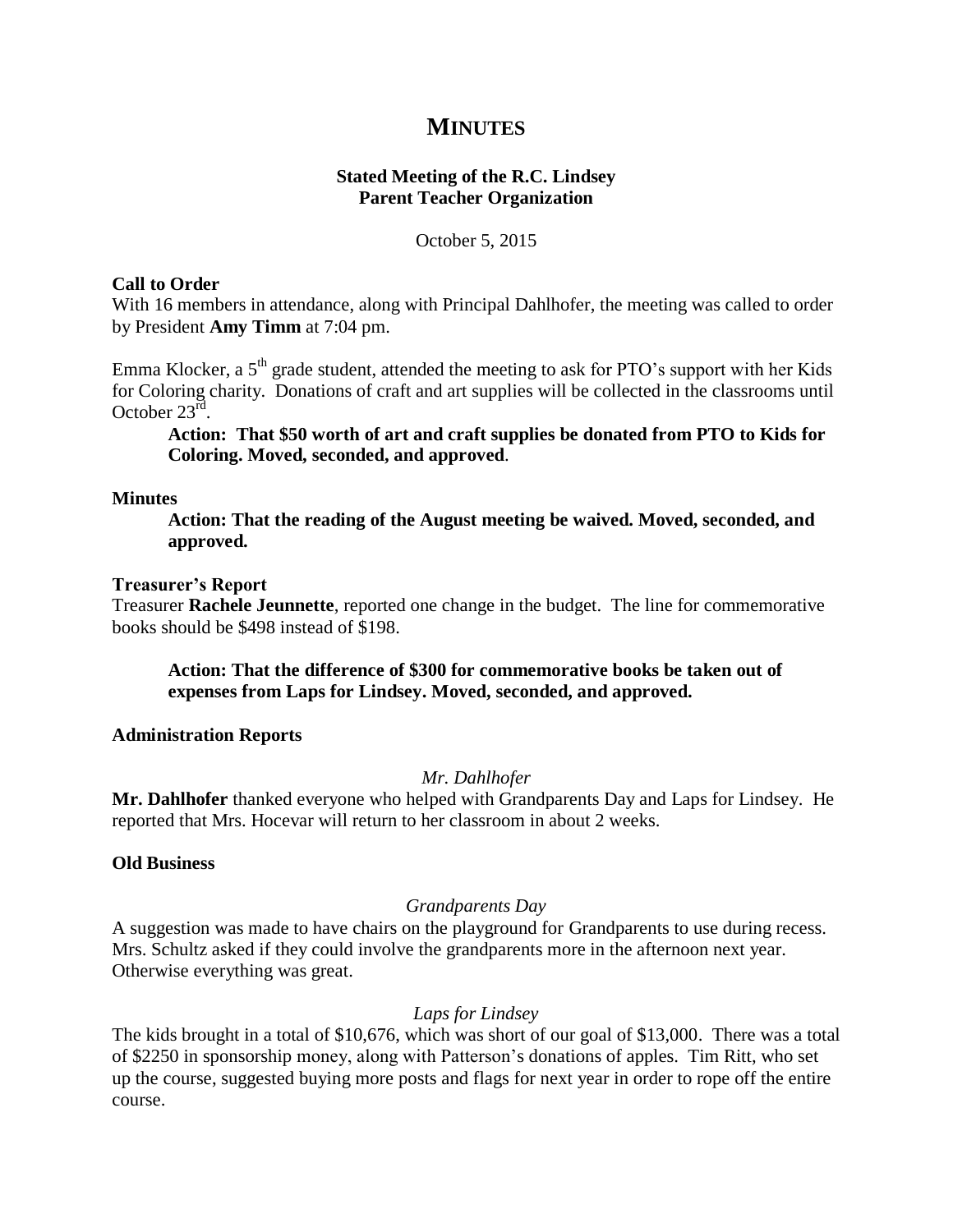# **MINUTES**

# **Stated Meeting of the R.C. Lindsey Parent Teacher Organization**

October 5, 2015

#### **Call to Order**

With 16 members in attendance, along with Principal Dahlhofer, the meeting was called to order by President **Amy Timm** at 7:04 pm.

Emma Klocker, a  $5<sup>th</sup>$  grade student, attended the meeting to ask for PTO's support with her Kids for Coloring charity. Donations of craft and art supplies will be collected in the classrooms until October  $23^{\text{rd}}$ .

**Action: That \$50 worth of art and craft supplies be donated from PTO to Kids for Coloring. Moved, seconded, and approved**.

#### **Minutes**

**Action: That the reading of the August meeting be waived. Moved, seconded, and approved.**

#### **Treasurer's Report**

Treasurer **Rachele Jeunnette**, reported one change in the budget. The line for commemorative books should be \$498 instead of \$198.

## **Action: That the difference of \$300 for commemorative books be taken out of expenses from Laps for Lindsey. Moved, seconded, and approved.**

## **Administration Reports**

## *Mr. Dahlhofer*

**Mr. Dahlhofer** thanked everyone who helped with Grandparents Day and Laps for Lindsey. He reported that Mrs. Hocevar will return to her classroom in about 2 weeks.

## **Old Business**

## *Grandparents Day*

A suggestion was made to have chairs on the playground for Grandparents to use during recess. Mrs. Schultz asked if they could involve the grandparents more in the afternoon next year. Otherwise everything was great.

## *Laps for Lindsey*

The kids brought in a total of \$10,676, which was short of our goal of \$13,000. There was a total of \$2250 in sponsorship money, along with Patterson's donations of apples. Tim Ritt, who set up the course, suggested buying more posts and flags for next year in order to rope off the entire course.